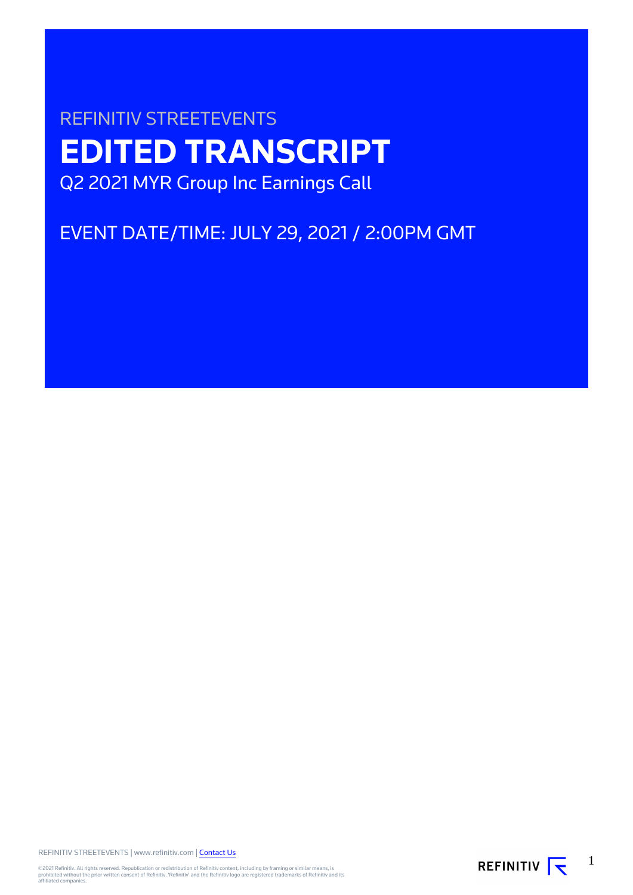# REFINITIV STREETEVENTS **EDITED TRANSCRIPT** Q2 2021 MYR Group Inc Earnings Call

## EVENT DATE/TIME: JULY 29, 2021 / 2:00PM GMT

REFINITIV STREETEVENTS | www.refinitiv.com | [Contact Us](https://www.refinitiv.com/en/contact-us)

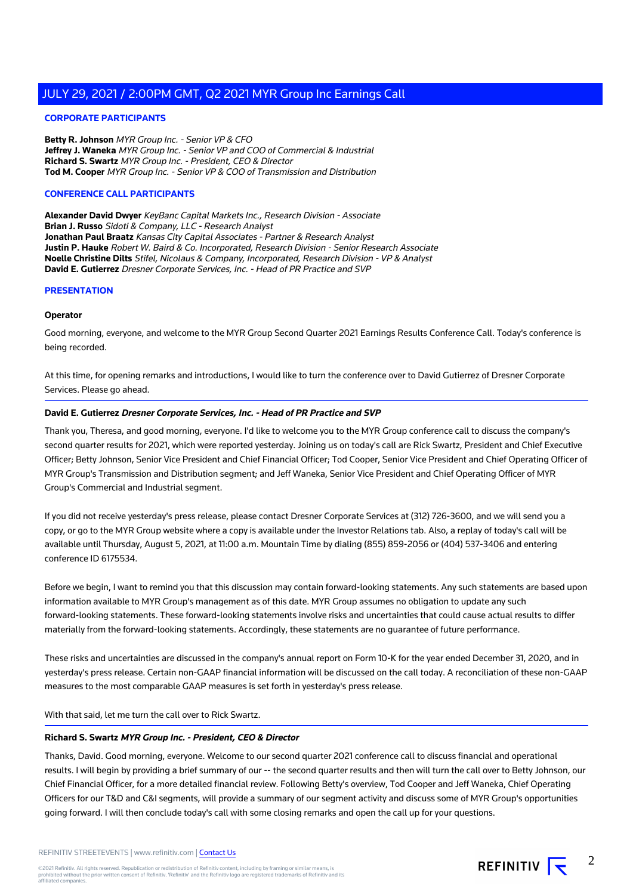#### **CORPORATE PARTICIPANTS**

**Betty R. Johnson** MYR Group Inc. - Senior VP & CFO **Jeffrey J. Waneka** MYR Group Inc. - Senior VP and COO of Commercial & Industrial **Richard S. Swartz** MYR Group Inc. - President, CEO & Director **Tod M. Cooper** MYR Group Inc. - Senior VP & COO of Transmission and Distribution

#### **CONFERENCE CALL PARTICIPANTS**

**Alexander David Dwyer** KeyBanc Capital Markets Inc., Research Division - Associate **Brian J. Russo** Sidoti & Company, LLC - Research Analyst **Jonathan Paul Braatz** Kansas City Capital Associates - Partner & Research Analyst **Justin P. Hauke** Robert W. Baird & Co. Incorporated, Research Division - Senior Research Associate **Noelle Christine Dilts** Stifel, Nicolaus & Company, Incorporated, Research Division - VP & Analyst **David E. Gutierrez** Dresner Corporate Services, Inc. - Head of PR Practice and SVP

#### **PRESENTATION**

#### **Operator**

Good morning, everyone, and welcome to the MYR Group Second Quarter 2021 Earnings Results Conference Call. Today's conference is being recorded.

At this time, for opening remarks and introductions, I would like to turn the conference over to David Gutierrez of Dresner Corporate Services. Please go ahead.

#### **David E. Gutierrez Dresner Corporate Services, Inc. - Head of PR Practice and SVP**

Thank you, Theresa, and good morning, everyone. I'd like to welcome you to the MYR Group conference call to discuss the company's second quarter results for 2021, which were reported yesterday. Joining us on today's call are Rick Swartz, President and Chief Executive Officer; Betty Johnson, Senior Vice President and Chief Financial Officer; Tod Cooper, Senior Vice President and Chief Operating Officer of MYR Group's Transmission and Distribution segment; and Jeff Waneka, Senior Vice President and Chief Operating Officer of MYR Group's Commercial and Industrial segment.

If you did not receive yesterday's press release, please contact Dresner Corporate Services at (312) 726-3600, and we will send you a copy, or go to the MYR Group website where a copy is available under the Investor Relations tab. Also, a replay of today's call will be available until Thursday, August 5, 2021, at 11:00 a.m. Mountain Time by dialing (855) 859-2056 or (404) 537-3406 and entering conference ID 6175534.

Before we begin, I want to remind you that this discussion may contain forward-looking statements. Any such statements are based upon information available to MYR Group's management as of this date. MYR Group assumes no obligation to update any such forward-looking statements. These forward-looking statements involve risks and uncertainties that could cause actual results to differ materially from the forward-looking statements. Accordingly, these statements are no guarantee of future performance.

These risks and uncertainties are discussed in the company's annual report on Form 10-K for the year ended December 31, 2020, and in yesterday's press release. Certain non-GAAP financial information will be discussed on the call today. A reconciliation of these non-GAAP measures to the most comparable GAAP measures is set forth in yesterday's press release.

With that said, let me turn the call over to Rick Swartz.

#### **Richard S. Swartz MYR Group Inc. - President, CEO & Director**

Thanks, David. Good morning, everyone. Welcome to our second quarter 2021 conference call to discuss financial and operational results. I will begin by providing a brief summary of our -- the second quarter results and then will turn the call over to Betty Johnson, our Chief Financial Officer, for a more detailed financial review. Following Betty's overview, Tod Cooper and Jeff Waneka, Chief Operating Officers for our T&D and C&I segments, will provide a summary of our segment activity and discuss some of MYR Group's opportunities going forward. I will then conclude today's call with some closing remarks and open the call up for your questions.

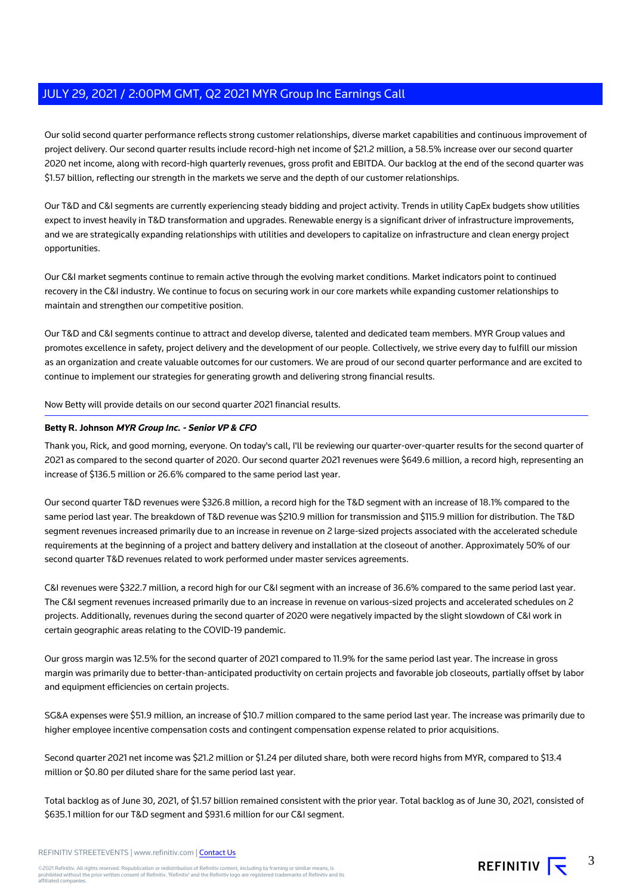Our solid second quarter performance reflects strong customer relationships, diverse market capabilities and continuous improvement of project delivery. Our second quarter results include record-high net income of \$21.2 million, a 58.5% increase over our second quarter 2020 net income, along with record-high quarterly revenues, gross profit and EBITDA. Our backlog at the end of the second quarter was \$1.57 billion, reflecting our strength in the markets we serve and the depth of our customer relationships.

Our T&D and C&I segments are currently experiencing steady bidding and project activity. Trends in utility CapEx budgets show utilities expect to invest heavily in T&D transformation and upgrades. Renewable energy is a significant driver of infrastructure improvements, and we are strategically expanding relationships with utilities and developers to capitalize on infrastructure and clean energy project opportunities.

Our C&I market segments continue to remain active through the evolving market conditions. Market indicators point to continued recovery in the C&I industry. We continue to focus on securing work in our core markets while expanding customer relationships to maintain and strengthen our competitive position.

Our T&D and C&I segments continue to attract and develop diverse, talented and dedicated team members. MYR Group values and promotes excellence in safety, project delivery and the development of our people. Collectively, we strive every day to fulfill our mission as an organization and create valuable outcomes for our customers. We are proud of our second quarter performance and are excited to continue to implement our strategies for generating growth and delivering strong financial results.

Now Betty will provide details on our second quarter 2021 financial results.

#### **Betty R. Johnson MYR Group Inc. - Senior VP & CFO**

Thank you, Rick, and good morning, everyone. On today's call, I'll be reviewing our quarter-over-quarter results for the second quarter of 2021 as compared to the second quarter of 2020. Our second quarter 2021 revenues were \$649.6 million, a record high, representing an increase of \$136.5 million or 26.6% compared to the same period last year.

Our second quarter T&D revenues were \$326.8 million, a record high for the T&D segment with an increase of 18.1% compared to the same period last year. The breakdown of T&D revenue was \$210.9 million for transmission and \$115.9 million for distribution. The T&D segment revenues increased primarily due to an increase in revenue on 2 large-sized projects associated with the accelerated schedule requirements at the beginning of a project and battery delivery and installation at the closeout of another. Approximately 50% of our second quarter T&D revenues related to work performed under master services agreements.

C&I revenues were \$322.7 million, a record high for our C&I segment with an increase of 36.6% compared to the same period last year. The C&I segment revenues increased primarily due to an increase in revenue on various-sized projects and accelerated schedules on 2 projects. Additionally, revenues during the second quarter of 2020 were negatively impacted by the slight slowdown of C&I work in certain geographic areas relating to the COVID-19 pandemic.

Our gross margin was 12.5% for the second quarter of 2021 compared to 11.9% for the same period last year. The increase in gross margin was primarily due to better-than-anticipated productivity on certain projects and favorable job closeouts, partially offset by labor and equipment efficiencies on certain projects.

SG&A expenses were \$51.9 million, an increase of \$10.7 million compared to the same period last year. The increase was primarily due to higher employee incentive compensation costs and contingent compensation expense related to prior acquisitions.

Second quarter 2021 net income was \$21.2 million or \$1.24 per diluted share, both were record highs from MYR, compared to \$13.4 million or \$0.80 per diluted share for the same period last year.

Total backlog as of June 30, 2021, of \$1.57 billion remained consistent with the prior year. Total backlog as of June 30, 2021, consisted of \$635.1 million for our T&D segment and \$931.6 million for our C&I segment.

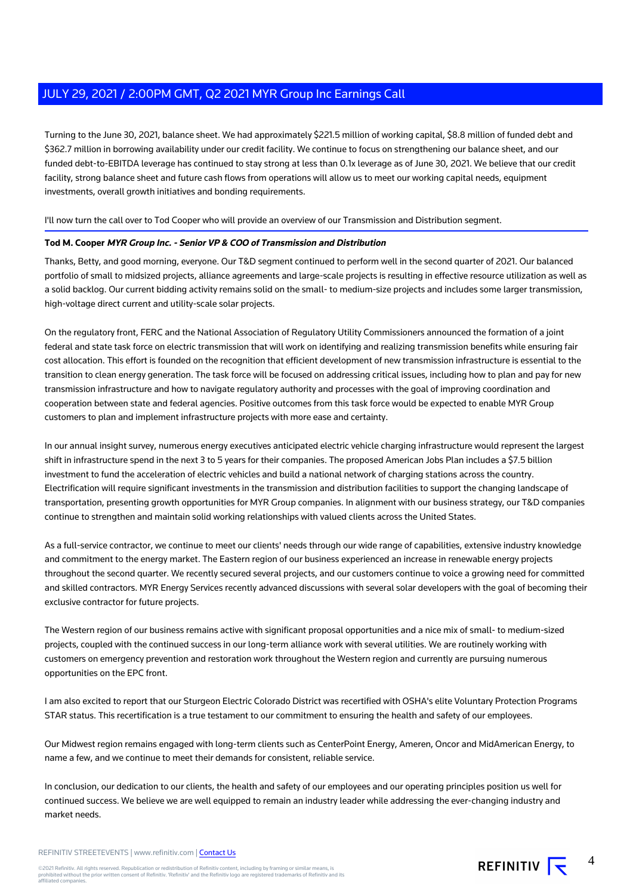Turning to the June 30, 2021, balance sheet. We had approximately \$221.5 million of working capital, \$8.8 million of funded debt and \$362.7 million in borrowing availability under our credit facility. We continue to focus on strengthening our balance sheet, and our funded debt-to-EBITDA leverage has continued to stay strong at less than 0.1x leverage as of June 30, 2021. We believe that our credit facility, strong balance sheet and future cash flows from operations will allow us to meet our working capital needs, equipment investments, overall growth initiatives and bonding requirements.

#### I'll now turn the call over to Tod Cooper who will provide an overview of our Transmission and Distribution segment.

#### **Tod M. Cooper MYR Group Inc. - Senior VP & COO of Transmission and Distribution**

Thanks, Betty, and good morning, everyone. Our T&D segment continued to perform well in the second quarter of 2021. Our balanced portfolio of small to midsized projects, alliance agreements and large-scale projects is resulting in effective resource utilization as well as a solid backlog. Our current bidding activity remains solid on the small- to medium-size projects and includes some larger transmission, high-voltage direct current and utility-scale solar projects.

On the regulatory front, FERC and the National Association of Regulatory Utility Commissioners announced the formation of a joint federal and state task force on electric transmission that will work on identifying and realizing transmission benefits while ensuring fair cost allocation. This effort is founded on the recognition that efficient development of new transmission infrastructure is essential to the transition to clean energy generation. The task force will be focused on addressing critical issues, including how to plan and pay for new transmission infrastructure and how to navigate regulatory authority and processes with the goal of improving coordination and cooperation between state and federal agencies. Positive outcomes from this task force would be expected to enable MYR Group customers to plan and implement infrastructure projects with more ease and certainty.

In our annual insight survey, numerous energy executives anticipated electric vehicle charging infrastructure would represent the largest shift in infrastructure spend in the next 3 to 5 years for their companies. The proposed American Jobs Plan includes a \$7.5 billion investment to fund the acceleration of electric vehicles and build a national network of charging stations across the country. Electrification will require significant investments in the transmission and distribution facilities to support the changing landscape of transportation, presenting growth opportunities for MYR Group companies. In alignment with our business strategy, our T&D companies continue to strengthen and maintain solid working relationships with valued clients across the United States.

As a full-service contractor, we continue to meet our clients' needs through our wide range of capabilities, extensive industry knowledge and commitment to the energy market. The Eastern region of our business experienced an increase in renewable energy projects throughout the second quarter. We recently secured several projects, and our customers continue to voice a growing need for committed and skilled contractors. MYR Energy Services recently advanced discussions with several solar developers with the goal of becoming their exclusive contractor for future projects.

The Western region of our business remains active with significant proposal opportunities and a nice mix of small- to medium-sized projects, coupled with the continued success in our long-term alliance work with several utilities. We are routinely working with customers on emergency prevention and restoration work throughout the Western region and currently are pursuing numerous opportunities on the EPC front.

I am also excited to report that our Sturgeon Electric Colorado District was recertified with OSHA's elite Voluntary Protection Programs STAR status. This recertification is a true testament to our commitment to ensuring the health and safety of our employees.

Our Midwest region remains engaged with long-term clients such as CenterPoint Energy, Ameren, Oncor and MidAmerican Energy, to name a few, and we continue to meet their demands for consistent, reliable service.

In conclusion, our dedication to our clients, the health and safety of our employees and our operating principles position us well for continued success. We believe we are well equipped to remain an industry leader while addressing the ever-changing industry and market needs.

REFINITIV STREETEVENTS | www.refinitiv.com | [Contact Us](https://www.refinitiv.com/en/contact-us)

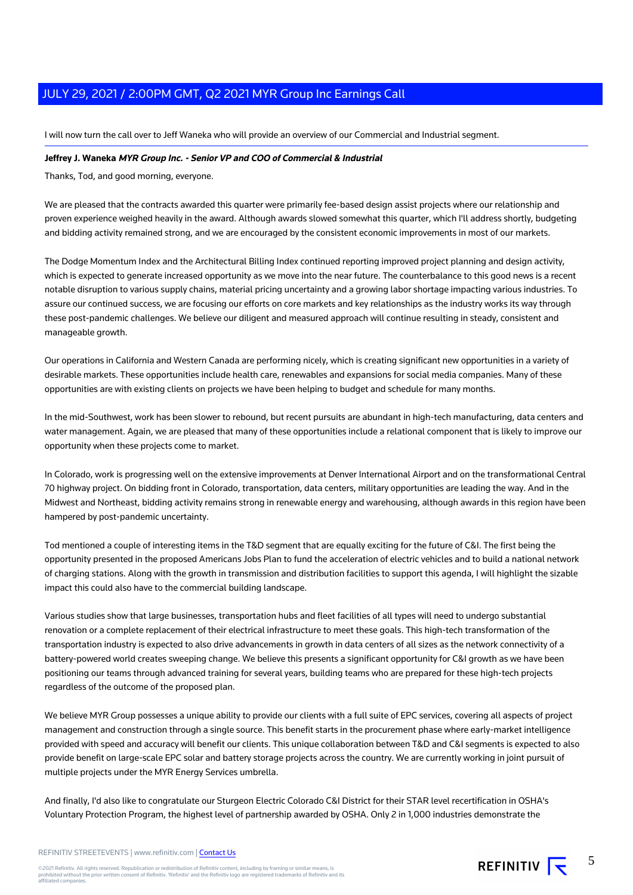I will now turn the call over to Jeff Waneka who will provide an overview of our Commercial and Industrial segment.

#### **Jeffrey J. Waneka MYR Group Inc. - Senior VP and COO of Commercial & Industrial**

Thanks, Tod, and good morning, everyone.

We are pleased that the contracts awarded this quarter were primarily fee-based design assist projects where our relationship and proven experience weighed heavily in the award. Although awards slowed somewhat this quarter, which I'll address shortly, budgeting and bidding activity remained strong, and we are encouraged by the consistent economic improvements in most of our markets.

The Dodge Momentum Index and the Architectural Billing Index continued reporting improved project planning and design activity, which is expected to generate increased opportunity as we move into the near future. The counterbalance to this good news is a recent notable disruption to various supply chains, material pricing uncertainty and a growing labor shortage impacting various industries. To assure our continued success, we are focusing our efforts on core markets and key relationships as the industry works its way through these post-pandemic challenges. We believe our diligent and measured approach will continue resulting in steady, consistent and manageable growth.

Our operations in California and Western Canada are performing nicely, which is creating significant new opportunities in a variety of desirable markets. These opportunities include health care, renewables and expansions for social media companies. Many of these opportunities are with existing clients on projects we have been helping to budget and schedule for many months.

In the mid-Southwest, work has been slower to rebound, but recent pursuits are abundant in high-tech manufacturing, data centers and water management. Again, we are pleased that many of these opportunities include a relational component that is likely to improve our opportunity when these projects come to market.

In Colorado, work is progressing well on the extensive improvements at Denver International Airport and on the transformational Central 70 highway project. On bidding front in Colorado, transportation, data centers, military opportunities are leading the way. And in the Midwest and Northeast, bidding activity remains strong in renewable energy and warehousing, although awards in this region have been hampered by post-pandemic uncertainty.

Tod mentioned a couple of interesting items in the T&D segment that are equally exciting for the future of C&I. The first being the opportunity presented in the proposed Americans Jobs Plan to fund the acceleration of electric vehicles and to build a national network of charging stations. Along with the growth in transmission and distribution facilities to support this agenda, I will highlight the sizable impact this could also have to the commercial building landscape.

Various studies show that large businesses, transportation hubs and fleet facilities of all types will need to undergo substantial renovation or a complete replacement of their electrical infrastructure to meet these goals. This high-tech transformation of the transportation industry is expected to also drive advancements in growth in data centers of all sizes as the network connectivity of a battery-powered world creates sweeping change. We believe this presents a significant opportunity for C&I growth as we have been positioning our teams through advanced training for several years, building teams who are prepared for these high-tech projects regardless of the outcome of the proposed plan.

We believe MYR Group possesses a unique ability to provide our clients with a full suite of EPC services, covering all aspects of project management and construction through a single source. This benefit starts in the procurement phase where early-market intelligence provided with speed and accuracy will benefit our clients. This unique collaboration between T&D and C&I segments is expected to also provide benefit on large-scale EPC solar and battery storage projects across the country. We are currently working in joint pursuit of multiple projects under the MYR Energy Services umbrella.

And finally, I'd also like to congratulate our Sturgeon Electric Colorado C&I District for their STAR level recertification in OSHA's Voluntary Protection Program, the highest level of partnership awarded by OSHA. Only 2 in 1,000 industries demonstrate the

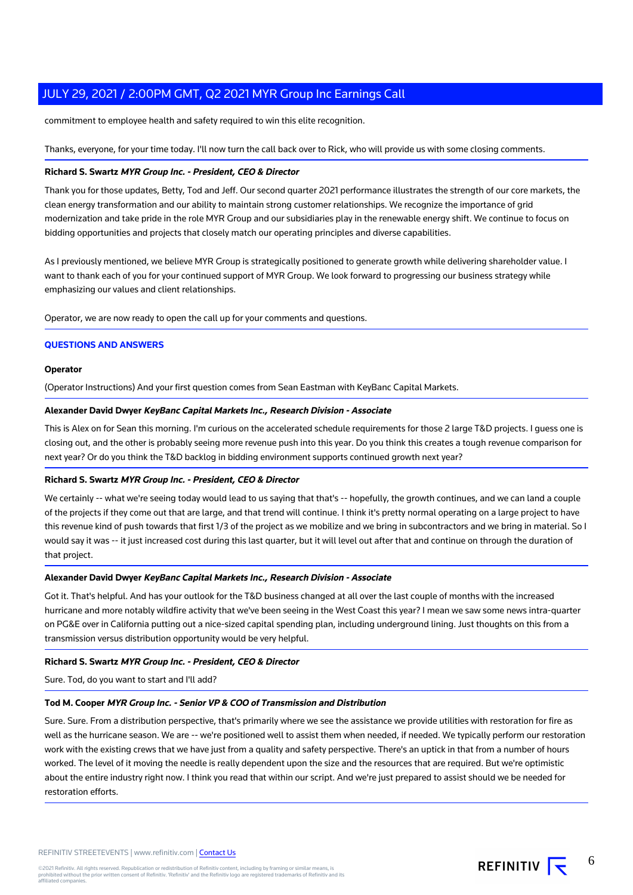commitment to employee health and safety required to win this elite recognition.

Thanks, everyone, for your time today. I'll now turn the call back over to Rick, who will provide us with some closing comments.

#### **Richard S. Swartz MYR Group Inc. - President, CEO & Director**

Thank you for those updates, Betty, Tod and Jeff. Our second quarter 2021 performance illustrates the strength of our core markets, the clean energy transformation and our ability to maintain strong customer relationships. We recognize the importance of grid modernization and take pride in the role MYR Group and our subsidiaries play in the renewable energy shift. We continue to focus on bidding opportunities and projects that closely match our operating principles and diverse capabilities.

As I previously mentioned, we believe MYR Group is strategically positioned to generate growth while delivering shareholder value. I want to thank each of you for your continued support of MYR Group. We look forward to progressing our business strategy while emphasizing our values and client relationships.

Operator, we are now ready to open the call up for your comments and questions.

#### **QUESTIONS AND ANSWERS**

#### **Operator**

(Operator Instructions) And your first question comes from Sean Eastman with KeyBanc Capital Markets.

#### **Alexander David Dwyer KeyBanc Capital Markets Inc., Research Division - Associate**

This is Alex on for Sean this morning. I'm curious on the accelerated schedule requirements for those 2 large T&D projects. I guess one is closing out, and the other is probably seeing more revenue push into this year. Do you think this creates a tough revenue comparison for next year? Or do you think the T&D backlog in bidding environment supports continued growth next year?

#### **Richard S. Swartz MYR Group Inc. - President, CEO & Director**

We certainly -- what we're seeing today would lead to us saying that that's -- hopefully, the growth continues, and we can land a couple of the projects if they come out that are large, and that trend will continue. I think it's pretty normal operating on a large project to have this revenue kind of push towards that first 1/3 of the project as we mobilize and we bring in subcontractors and we bring in material. So I would say it was -- it just increased cost during this last quarter, but it will level out after that and continue on through the duration of that project.

#### **Alexander David Dwyer KeyBanc Capital Markets Inc., Research Division - Associate**

Got it. That's helpful. And has your outlook for the T&D business changed at all over the last couple of months with the increased hurricane and more notably wildfire activity that we've been seeing in the West Coast this year? I mean we saw some news intra-quarter on PG&E over in California putting out a nice-sized capital spending plan, including underground lining. Just thoughts on this from a transmission versus distribution opportunity would be very helpful.

#### **Richard S. Swartz MYR Group Inc. - President, CEO & Director**

Sure. Tod, do you want to start and I'll add?

#### **Tod M. Cooper MYR Group Inc. - Senior VP & COO of Transmission and Distribution**

Sure. Sure. From a distribution perspective, that's primarily where we see the assistance we provide utilities with restoration for fire as well as the hurricane season. We are -- we're positioned well to assist them when needed, if needed. We typically perform our restoration work with the existing crews that we have just from a quality and safety perspective. There's an uptick in that from a number of hours worked. The level of it moving the needle is really dependent upon the size and the resources that are required. But we're optimistic about the entire industry right now. I think you read that within our script. And we're just prepared to assist should we be needed for restoration efforts.

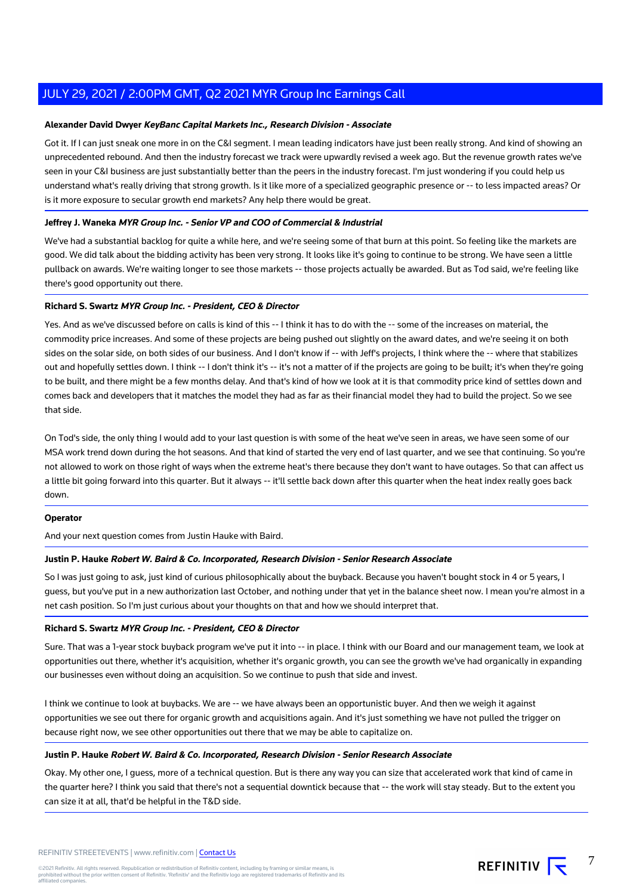#### **Alexander David Dwyer KeyBanc Capital Markets Inc., Research Division - Associate**

Got it. If I can just sneak one more in on the C&I segment. I mean leading indicators have just been really strong. And kind of showing an unprecedented rebound. And then the industry forecast we track were upwardly revised a week ago. But the revenue growth rates we've seen in your C&I business are just substantially better than the peers in the industry forecast. I'm just wondering if you could help us understand what's really driving that strong growth. Is it like more of a specialized geographic presence or -- to less impacted areas? Or is it more exposure to secular growth end markets? Any help there would be great.

#### **Jeffrey J. Waneka MYR Group Inc. - Senior VP and COO of Commercial & Industrial**

We've had a substantial backlog for quite a while here, and we're seeing some of that burn at this point. So feeling like the markets are good. We did talk about the bidding activity has been very strong. It looks like it's going to continue to be strong. We have seen a little pullback on awards. We're waiting longer to see those markets -- those projects actually be awarded. But as Tod said, we're feeling like there's good opportunity out there.

#### **Richard S. Swartz MYR Group Inc. - President, CEO & Director**

Yes. And as we've discussed before on calls is kind of this -- I think it has to do with the -- some of the increases on material, the commodity price increases. And some of these projects are being pushed out slightly on the award dates, and we're seeing it on both sides on the solar side, on both sides of our business. And I don't know if -- with Jeff's projects, I think where the -- where that stabilizes out and hopefully settles down. I think -- I don't think it's -- it's not a matter of if the projects are going to be built; it's when they're going to be built, and there might be a few months delay. And that's kind of how we look at it is that commodity price kind of settles down and comes back and developers that it matches the model they had as far as their financial model they had to build the project. So we see that side.

On Tod's side, the only thing I would add to your last question is with some of the heat we've seen in areas, we have seen some of our MSA work trend down during the hot seasons. And that kind of started the very end of last quarter, and we see that continuing. So you're not allowed to work on those right of ways when the extreme heat's there because they don't want to have outages. So that can affect us a little bit going forward into this quarter. But it always -- it'll settle back down after this quarter when the heat index really goes back down.

#### **Operator**

And your next question comes from Justin Hauke with Baird.

#### **Justin P. Hauke Robert W. Baird & Co. Incorporated, Research Division - Senior Research Associate**

So I was just going to ask, just kind of curious philosophically about the buyback. Because you haven't bought stock in 4 or 5 years, I guess, but you've put in a new authorization last October, and nothing under that yet in the balance sheet now. I mean you're almost in a net cash position. So I'm just curious about your thoughts on that and how we should interpret that.

#### **Richard S. Swartz MYR Group Inc. - President, CEO & Director**

Sure. That was a 1-year stock buyback program we've put it into -- in place. I think with our Board and our management team, we look at opportunities out there, whether it's acquisition, whether it's organic growth, you can see the growth we've had organically in expanding our businesses even without doing an acquisition. So we continue to push that side and invest.

I think we continue to look at buybacks. We are -- we have always been an opportunistic buyer. And then we weigh it against opportunities we see out there for organic growth and acquisitions again. And it's just something we have not pulled the trigger on because right now, we see other opportunities out there that we may be able to capitalize on.

#### **Justin P. Hauke Robert W. Baird & Co. Incorporated, Research Division - Senior Research Associate**

Okay. My other one, I guess, more of a technical question. But is there any way you can size that accelerated work that kind of came in the quarter here? I think you said that there's not a sequential downtick because that -- the work will stay steady. But to the extent you can size it at all, that'd be helpful in the T&D side.

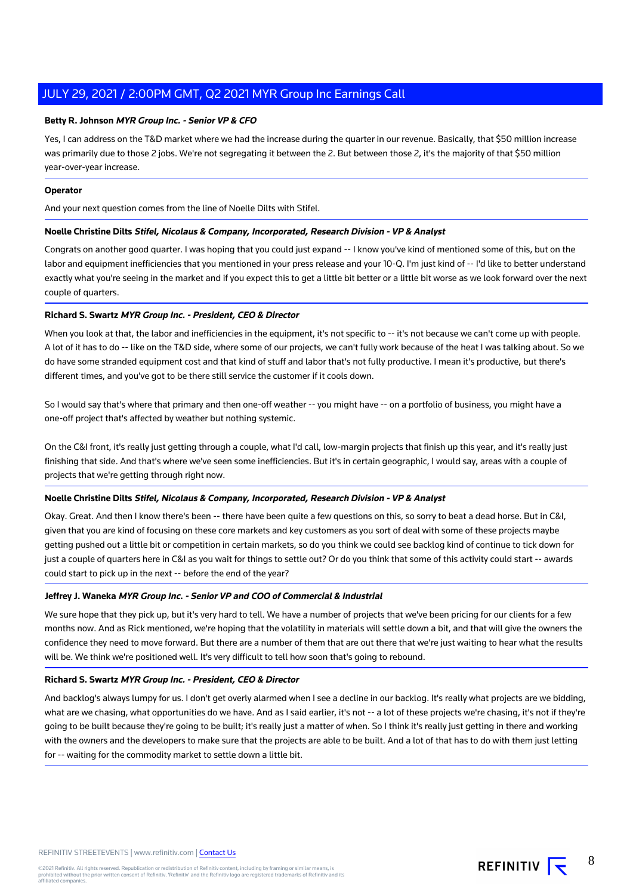#### **Betty R. Johnson MYR Group Inc. - Senior VP & CFO**

Yes, I can address on the T&D market where we had the increase during the quarter in our revenue. Basically, that \$50 million increase was primarily due to those 2 jobs. We're not segregating it between the 2. But between those 2, it's the majority of that \$50 million year-over-year increase.

#### **Operator**

And your next question comes from the line of Noelle Dilts with Stifel.

#### **Noelle Christine Dilts Stifel, Nicolaus & Company, Incorporated, Research Division - VP & Analyst**

Congrats on another good quarter. I was hoping that you could just expand -- I know you've kind of mentioned some of this, but on the labor and equipment inefficiencies that you mentioned in your press release and your 10-Q. I'm just kind of -- I'd like to better understand exactly what you're seeing in the market and if you expect this to get a little bit better or a little bit worse as we look forward over the next couple of quarters.

#### **Richard S. Swartz MYR Group Inc. - President, CEO & Director**

When you look at that, the labor and inefficiencies in the equipment, it's not specific to -- it's not because we can't come up with people. A lot of it has to do -- like on the T&D side, where some of our projects, we can't fully work because of the heat I was talking about. So we do have some stranded equipment cost and that kind of stuff and labor that's not fully productive. I mean it's productive, but there's different times, and you've got to be there still service the customer if it cools down.

So I would say that's where that primary and then one-off weather -- you might have -- on a portfolio of business, you might have a one-off project that's affected by weather but nothing systemic.

On the C&I front, it's really just getting through a couple, what I'd call, low-margin projects that finish up this year, and it's really just finishing that side. And that's where we've seen some inefficiencies. But it's in certain geographic, I would say, areas with a couple of projects that we're getting through right now.

#### **Noelle Christine Dilts Stifel, Nicolaus & Company, Incorporated, Research Division - VP & Analyst**

Okay. Great. And then I know there's been -- there have been quite a few questions on this, so sorry to beat a dead horse. But in C&I, given that you are kind of focusing on these core markets and key customers as you sort of deal with some of these projects maybe getting pushed out a little bit or competition in certain markets, so do you think we could see backlog kind of continue to tick down for just a couple of quarters here in C&I as you wait for things to settle out? Or do you think that some of this activity could start -- awards could start to pick up in the next -- before the end of the year?

#### **Jeffrey J. Waneka MYR Group Inc. - Senior VP and COO of Commercial & Industrial**

We sure hope that they pick up, but it's very hard to tell. We have a number of projects that we've been pricing for our clients for a few months now. And as Rick mentioned, we're hoping that the volatility in materials will settle down a bit, and that will give the owners the confidence they need to move forward. But there are a number of them that are out there that we're just waiting to hear what the results will be. We think we're positioned well. It's very difficult to tell how soon that's going to rebound.

#### **Richard S. Swartz MYR Group Inc. - President, CEO & Director**

And backlog's always lumpy for us. I don't get overly alarmed when I see a decline in our backlog. It's really what projects are we bidding, what are we chasing, what opportunities do we have. And as I said earlier, it's not -- a lot of these projects we're chasing, it's not if they're going to be built because they're going to be built; it's really just a matter of when. So I think it's really just getting in there and working with the owners and the developers to make sure that the projects are able to be built. And a lot of that has to do with them just letting for -- waiting for the commodity market to settle down a little bit.

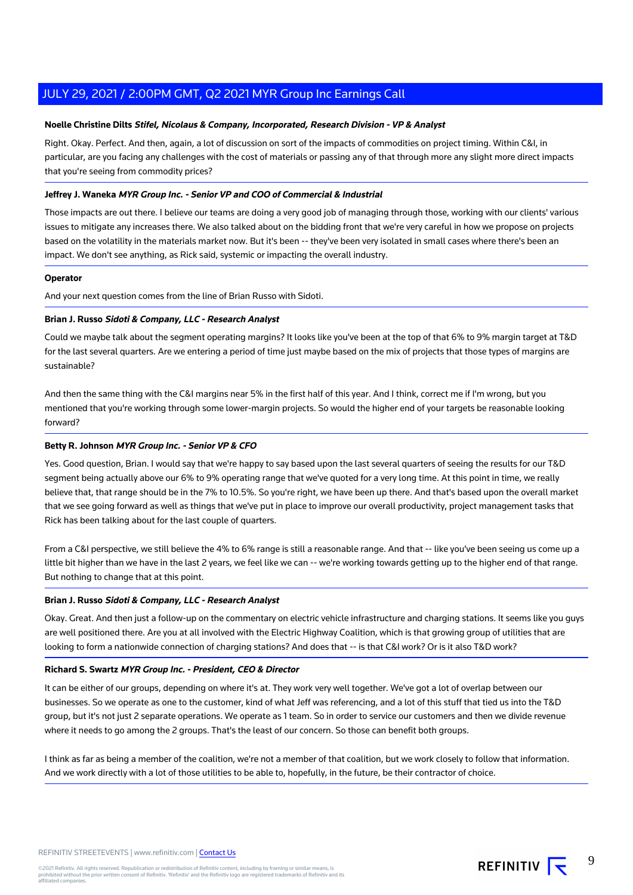#### **Noelle Christine Dilts Stifel, Nicolaus & Company, Incorporated, Research Division - VP & Analyst**

Right. Okay. Perfect. And then, again, a lot of discussion on sort of the impacts of commodities on project timing. Within C&I, in particular, are you facing any challenges with the cost of materials or passing any of that through more any slight more direct impacts that you're seeing from commodity prices?

#### **Jeffrey J. Waneka MYR Group Inc. - Senior VP and COO of Commercial & Industrial**

Those impacts are out there. I believe our teams are doing a very good job of managing through those, working with our clients' various issues to mitigate any increases there. We also talked about on the bidding front that we're very careful in how we propose on projects based on the volatility in the materials market now. But it's been -- they've been very isolated in small cases where there's been an impact. We don't see anything, as Rick said, systemic or impacting the overall industry.

#### **Operator**

And your next question comes from the line of Brian Russo with Sidoti.

#### **Brian J. Russo Sidoti & Company, LLC - Research Analyst**

Could we maybe talk about the segment operating margins? It looks like you've been at the top of that 6% to 9% margin target at T&D for the last several quarters. Are we entering a period of time just maybe based on the mix of projects that those types of margins are sustainable?

And then the same thing with the C&I margins near 5% in the first half of this year. And I think, correct me if I'm wrong, but you mentioned that you're working through some lower-margin projects. So would the higher end of your targets be reasonable looking forward?

#### **Betty R. Johnson MYR Group Inc. - Senior VP & CFO**

Yes. Good question, Brian. I would say that we're happy to say based upon the last several quarters of seeing the results for our T&D segment being actually above our 6% to 9% operating range that we've quoted for a very long time. At this point in time, we really believe that, that range should be in the 7% to 10.5%. So you're right, we have been up there. And that's based upon the overall market that we see going forward as well as things that we've put in place to improve our overall productivity, project management tasks that Rick has been talking about for the last couple of quarters.

From a C&I perspective, we still believe the 4% to 6% range is still a reasonable range. And that -- like you've been seeing us come up a little bit higher than we have in the last 2 years, we feel like we can -- we're working towards getting up to the higher end of that range. But nothing to change that at this point.

#### **Brian J. Russo Sidoti & Company, LLC - Research Analyst**

Okay. Great. And then just a follow-up on the commentary on electric vehicle infrastructure and charging stations. It seems like you guys are well positioned there. Are you at all involved with the Electric Highway Coalition, which is that growing group of utilities that are looking to form a nationwide connection of charging stations? And does that -- is that C&I work? Or is it also T&D work?

#### **Richard S. Swartz MYR Group Inc. - President, CEO & Director**

It can be either of our groups, depending on where it's at. They work very well together. We've got a lot of overlap between our businesses. So we operate as one to the customer, kind of what Jeff was referencing, and a lot of this stuff that tied us into the T&D group, but it's not just 2 separate operations. We operate as 1 team. So in order to service our customers and then we divide revenue where it needs to go among the 2 groups. That's the least of our concern. So those can benefit both groups.

I think as far as being a member of the coalition, we're not a member of that coalition, but we work closely to follow that information. And we work directly with a lot of those utilities to be able to, hopefully, in the future, be their contractor of choice.

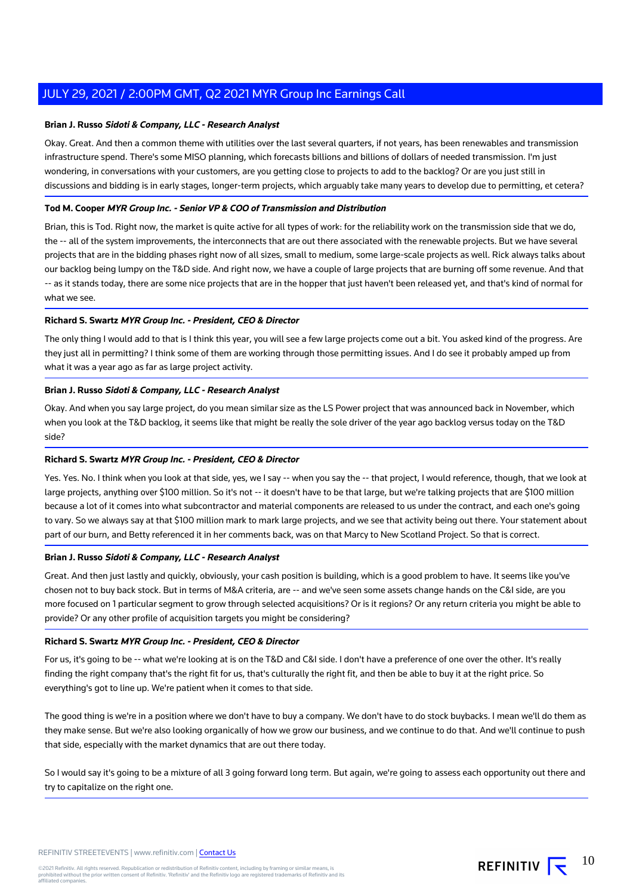#### **Brian J. Russo Sidoti & Company, LLC - Research Analyst**

Okay. Great. And then a common theme with utilities over the last several quarters, if not years, has been renewables and transmission infrastructure spend. There's some MISO planning, which forecasts billions and billions of dollars of needed transmission. I'm just wondering, in conversations with your customers, are you getting close to projects to add to the backlog? Or are you just still in discussions and bidding is in early stages, longer-term projects, which arguably take many years to develop due to permitting, et cetera?

#### **Tod M. Cooper MYR Group Inc. - Senior VP & COO of Transmission and Distribution**

Brian, this is Tod. Right now, the market is quite active for all types of work: for the reliability work on the transmission side that we do, the -- all of the system improvements, the interconnects that are out there associated with the renewable projects. But we have several projects that are in the bidding phases right now of all sizes, small to medium, some large-scale projects as well. Rick always talks about our backlog being lumpy on the T&D side. And right now, we have a couple of large projects that are burning off some revenue. And that -- as it stands today, there are some nice projects that are in the hopper that just haven't been released yet, and that's kind of normal for what we see.

#### **Richard S. Swartz MYR Group Inc. - President, CEO & Director**

The only thing I would add to that is I think this year, you will see a few large projects come out a bit. You asked kind of the progress. Are they just all in permitting? I think some of them are working through those permitting issues. And I do see it probably amped up from what it was a year ago as far as large project activity.

#### **Brian J. Russo Sidoti & Company, LLC - Research Analyst**

Okay. And when you say large project, do you mean similar size as the LS Power project that was announced back in November, which when you look at the T&D backlog, it seems like that might be really the sole driver of the year ago backlog versus today on the T&D side?

#### **Richard S. Swartz MYR Group Inc. - President, CEO & Director**

Yes. Yes. No. I think when you look at that side, yes, we I say -- when you say the -- that project, I would reference, though, that we look at large projects, anything over \$100 million. So it's not -- it doesn't have to be that large, but we're talking projects that are \$100 million because a lot of it comes into what subcontractor and material components are released to us under the contract, and each one's going to vary. So we always say at that \$100 million mark to mark large projects, and we see that activity being out there. Your statement about part of our burn, and Betty referenced it in her comments back, was on that Marcy to New Scotland Project. So that is correct.

#### **Brian J. Russo Sidoti & Company, LLC - Research Analyst**

Great. And then just lastly and quickly, obviously, your cash position is building, which is a good problem to have. It seems like you've chosen not to buy back stock. But in terms of M&A criteria, are -- and we've seen some assets change hands on the C&I side, are you more focused on 1 particular segment to grow through selected acquisitions? Or is it regions? Or any return criteria you might be able to provide? Or any other profile of acquisition targets you might be considering?

#### **Richard S. Swartz MYR Group Inc. - President, CEO & Director**

For us, it's going to be -- what we're looking at is on the T&D and C&I side. I don't have a preference of one over the other. It's really finding the right company that's the right fit for us, that's culturally the right fit, and then be able to buy it at the right price. So everything's got to line up. We're patient when it comes to that side.

The good thing is we're in a position where we don't have to buy a company. We don't have to do stock buybacks. I mean we'll do them as they make sense. But we're also looking organically of how we grow our business, and we continue to do that. And we'll continue to push that side, especially with the market dynamics that are out there today.

So I would say it's going to be a mixture of all 3 going forward long term. But again, we're going to assess each opportunity out there and try to capitalize on the right one.

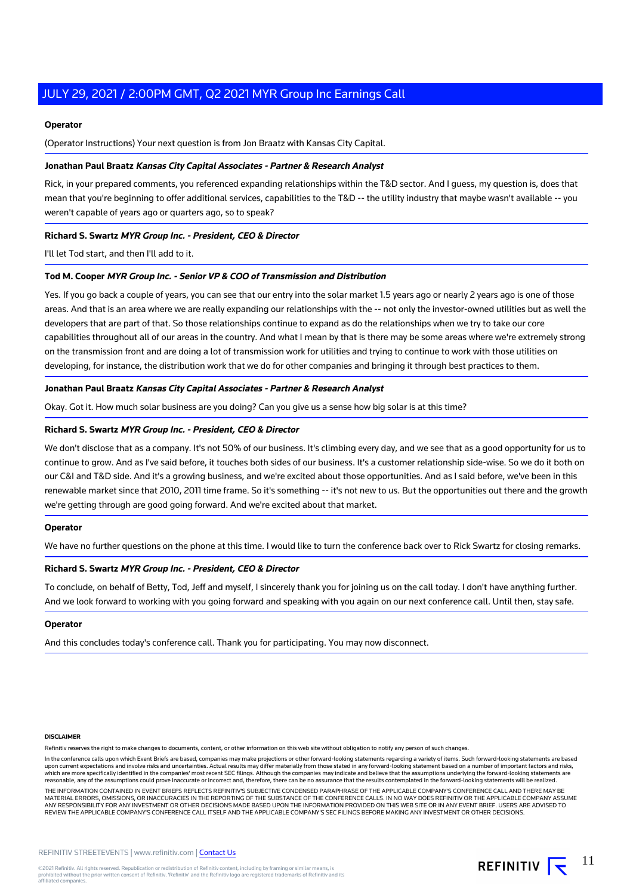#### **Operator**

(Operator Instructions) Your next question is from Jon Braatz with Kansas City Capital.

#### **Jonathan Paul Braatz Kansas City Capital Associates - Partner & Research Analyst**

Rick, in your prepared comments, you referenced expanding relationships within the T&D sector. And I guess, my question is, does that mean that you're beginning to offer additional services, capabilities to the T&D -- the utility industry that maybe wasn't available -- you weren't capable of years ago or quarters ago, so to speak?

#### **Richard S. Swartz MYR Group Inc. - President, CEO & Director**

I'll let Tod start, and then I'll add to it.

#### **Tod M. Cooper MYR Group Inc. - Senior VP & COO of Transmission and Distribution**

Yes. If you go back a couple of years, you can see that our entry into the solar market 1.5 years ago or nearly 2 years ago is one of those areas. And that is an area where we are really expanding our relationships with the -- not only the investor-owned utilities but as well the developers that are part of that. So those relationships continue to expand as do the relationships when we try to take our core capabilities throughout all of our areas in the country. And what I mean by that is there may be some areas where we're extremely strong on the transmission front and are doing a lot of transmission work for utilities and trying to continue to work with those utilities on developing, for instance, the distribution work that we do for other companies and bringing it through best practices to them.

#### **Jonathan Paul Braatz Kansas City Capital Associates - Partner & Research Analyst**

Okay. Got it. How much solar business are you doing? Can you give us a sense how big solar is at this time?

#### **Richard S. Swartz MYR Group Inc. - President, CEO & Director**

We don't disclose that as a company. It's not 50% of our business. It's climbing every day, and we see that as a good opportunity for us to continue to grow. And as I've said before, it touches both sides of our business. It's a customer relationship side-wise. So we do it both on our C&I and T&D side. And it's a growing business, and we're excited about those opportunities. And as I said before, we've been in this renewable market since that 2010, 2011 time frame. So it's something -- it's not new to us. But the opportunities out there and the growth we're getting through are good going forward. And we're excited about that market.

#### **Operator**

We have no further questions on the phone at this time. I would like to turn the conference back over to Rick Swartz for closing remarks.

#### **Richard S. Swartz MYR Group Inc. - President, CEO & Director**

To conclude, on behalf of Betty, Tod, Jeff and myself, I sincerely thank you for joining us on the call today. I don't have anything further. And we look forward to working with you going forward and speaking with you again on our next conference call. Until then, stay safe.

#### **Operator**

And this concludes today's conference call. Thank you for participating. You may now disconnect.

#### **DISCLAIMER**

Refinitiv reserves the right to make changes to documents, content, or other information on this web site without obligation to notify any person of such changes.

In the conference calls upon which Event Briefs are based, companies may make projections or other forward-looking statements regarding a variety of items. Such forward-looking statements are based upon current expectations and involve risks and uncertainties. Actual results may differ materially from those stated in any forward-looking statement based on a number of important factors and risks,<br>which are more specif reasonable, any of the assumptions could prove inaccurate or incorrect and, therefore, there can be no assurance that the results contemplated in the forward-looking statements will be realized.

THE INFORMATION CONTAINED IN EVENT BRIEFS REFLECTS REFINITIV'S SUBJECTIVE CONDENSED PARAPHRASE OF THE APPLICABLE COMPANY'S CONFERENCE CALL AND THERE MAY BE MATERIAL ERRORS, OMISSIONS, OR INACCURACIES IN THE REPORTING OF THE SUBSTANCE OF THE CONFERENCE CALLS. IN NO WAY DOES REFINITIV OR THE APPLICABLE COMPANY ASSUME<br>ANY RESPONSIBILITY FOR ANY INVESTMENT OR OTHER DECISIONS MADE